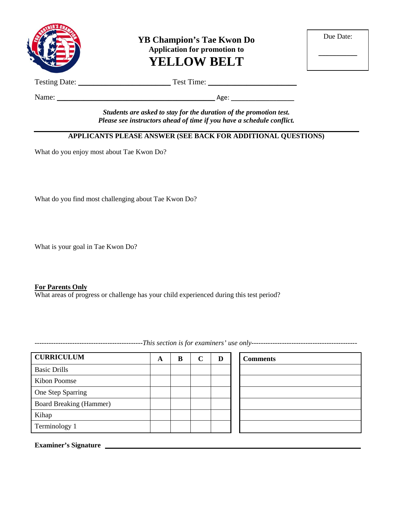

**YB Champion's Tae Kwon Do Application for promotion to YELLOW BELT**

| Due Date: |  |
|-----------|--|
|           |  |

Testing Date: \_\_\_\_\_\_\_\_\_\_\_\_\_\_\_\_\_\_\_\_\_\_\_\_ Test Time: \_\_\_\_\_\_\_\_\_\_\_\_\_\_\_\_\_\_\_\_\_\_\_

Name: \_\_\_\_\_\_\_\_\_\_\_\_\_\_\_\_\_\_\_\_\_\_\_\_\_\_\_\_\_\_\_\_\_\_\_\_\_\_\_\_\_ Age: \_\_\_\_\_\_\_\_\_\_\_\_\_\_\_\_\_\_

*Students are asked to stay for the duration of the promotion test. Please see instructors ahead of time if you have a schedule conflict.*

## **APPLICANTS PLEASE ANSWER (SEE BACK FOR ADDITIONAL QUESTIONS)**

What do you enjoy most about Tae Kwon Do?

What do you find most challenging about Tae Kwon Do?

What is your goal in Tae Kwon Do?

#### **For Parents Only**

What areas of progress or challenge has your child experienced during this test period?

**CURRICULUM A B C D Comments** Basic Drills Kibon Poomse One Step Sparring Board Breaking (Hammer) Kihap Terminology 1

**Examiner's Signature**

----------------------------------------------*This section is for examiners' use only---------------------------------------------*